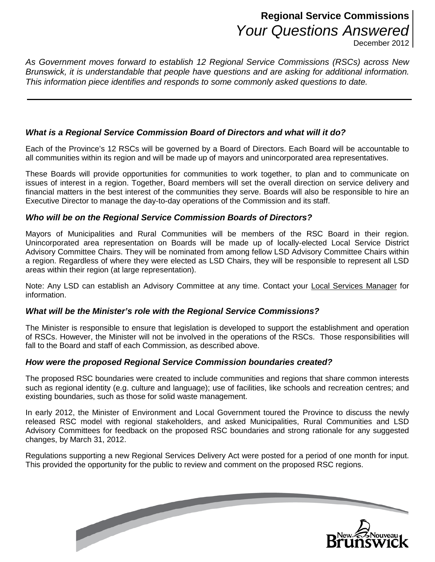# **Regional Service Commissions** *Your Questions Answered*

December 2012

*As Government moves forward to establish 12 Regional Service Commissions (RSCs) across New Brunswick, it is understandable that people have questions and are asking for additional information. This information piece identifies and responds to some commonly asked questions to date.* 

# *What is a Regional Service Commission Board of Directors and what will it do?*

Each of the Province's 12 RSCs will be governed by a Board of Directors. Each Board will be accountable to all communities within its region and will be made up of mayors and unincorporated area representatives.

These Boards will provide opportunities for communities to work together, to plan and to communicate on issues of interest in a region. Together, Board members will set the overall direction on service delivery and financial matters in the best interest of the communities they serve. Boards will also be responsible to hire an Executive Director to manage the day-to-day operations of the Commission and its staff.

#### *Who will be on the Regional Service Commission Boards of Directors?*

Mayors of Municipalities and Rural Communities will be members of the RSC Board in their region. Unincorporated area representation on Boards will be made up of locally-elected Local Service District Advisory Committee Chairs. They will be nominated from among fellow LSD Advisory Committee Chairs within a region. Regardless of where they were elected as LSD Chairs, they will be responsible to represent all LSD areas within their region (at large representation).

Note: Any LSD can establish an Advisory Committee at any time. Contact your [Local Services Manager](http://www2.gnb.ca/content/gnb/en/departments/local_government/promos/our_communities_-ourfuture/local_service_managers.html) for information.

#### *What will be the Minister's role with the Regional Service Commissions?*

The Minister is responsible to ensure that legislation is developed to support the establishment and operation of RSCs. However, the Minister will not be involved in the operations of the RSCs. Those responsibilities will fall to the Board and staff of each Commission, as described above.

#### *How were the proposed Regional Service Commission boundaries created?*

The proposed RSC boundaries were created to include communities and regions that share common interests such as regional identity (e.g. culture and language); use of facilities, like schools and recreation centres; and existing boundaries, such as those for solid waste management.

In early 2012, the Minister of Environment and Local Government toured the Province to discuss the newly released RSC model with regional stakeholders, and asked Municipalities, Rural Communities and LSD Advisory Committees for feedback on the proposed RSC boundaries and strong rationale for any suggested changes, by March 31, 2012.

Regulations supporting a new Regional Services Delivery Act were posted for a period of one month for input. This provided the opportunity for the public to review and comment on the proposed RSC regions.